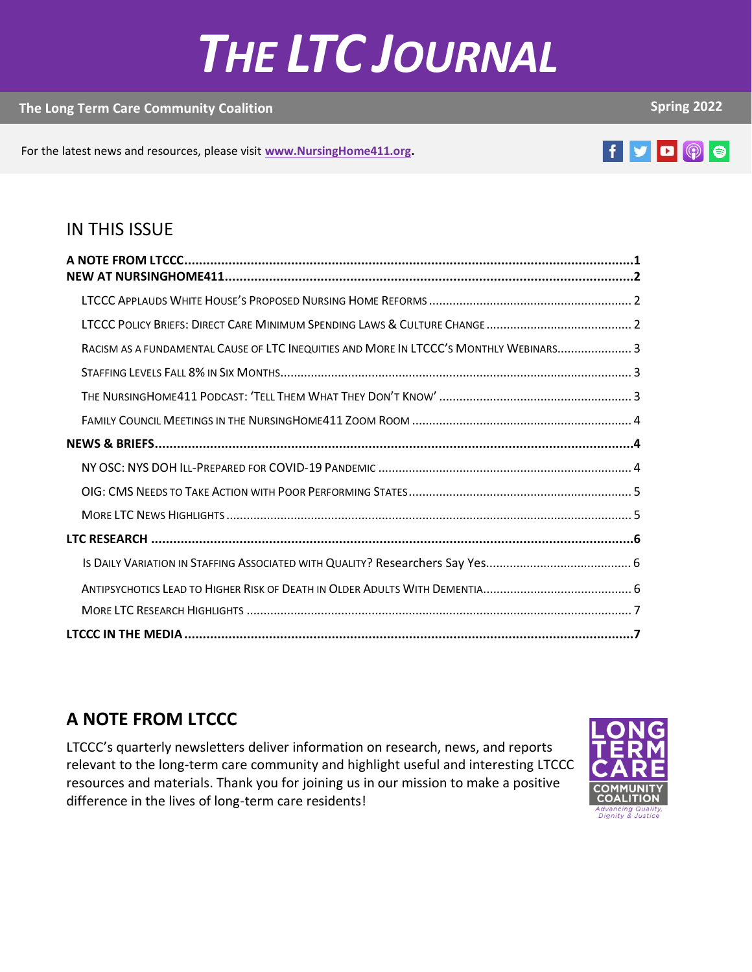# *THE LTC JOURNAL*

#### **The Long Term Care Community Coalition**

**Spring 2022**

For the latest news and resources, please visit **[www.NursingHome411.org.](http://www.nursinghome411.org/)**

# f y D (0) e

**2021**

#### IN THIS ISSUE

| RACISM AS A FUNDAMENTAL CAUSE OF LTC INEQUITIES AND MORE IN LTCCC'S MONTHLY WEBINARS 3 |  |
|----------------------------------------------------------------------------------------|--|
|                                                                                        |  |
|                                                                                        |  |
|                                                                                        |  |
|                                                                                        |  |
|                                                                                        |  |
|                                                                                        |  |
|                                                                                        |  |
|                                                                                        |  |
|                                                                                        |  |
|                                                                                        |  |
|                                                                                        |  |
|                                                                                        |  |

## <span id="page-0-0"></span>**A NOTE FROM LTCCC**

LTCCC's quarterly newsletters deliver information on research, news, and reports relevant to the long-term care community and highlight useful and interesting LTCCC resources and materials. Thank you for joining us in our mission to make a positive difference in the lives of long-term care residents!

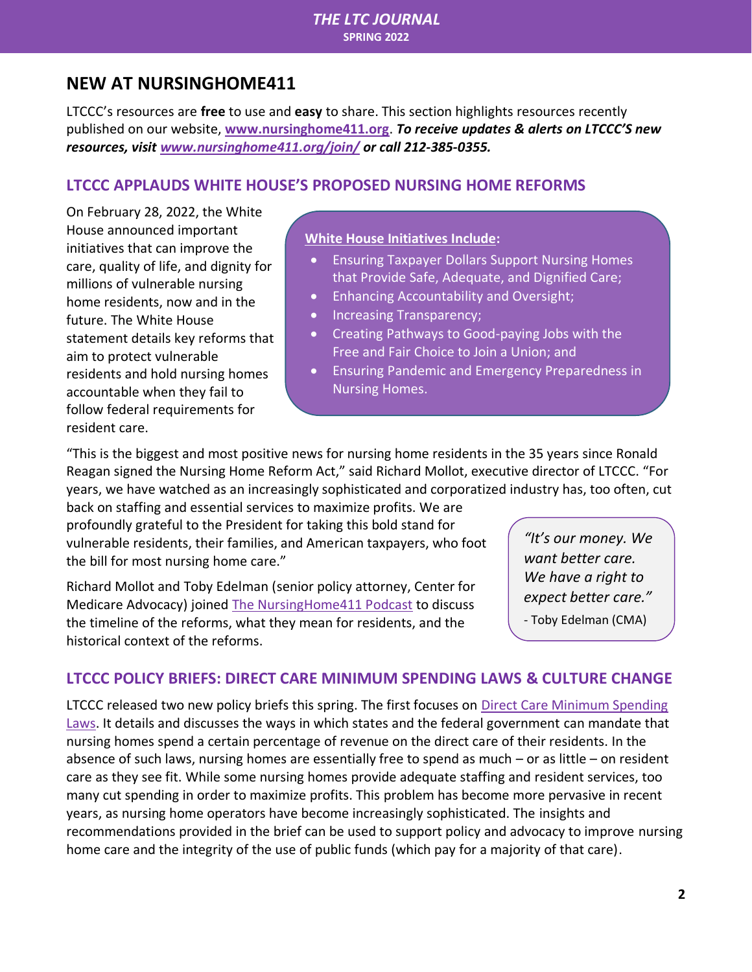#### *THE LTC JOURNAL*  **SPRING 2022**

## <span id="page-1-0"></span>**NEW AT NURSINGHOME411**

LTCCC's resources are **free** to use and **easy** to share. This section highlights resources recently published on our website, **[www.nursinghome411.org](http://www.nursinghome411.org/)**. *To receive updates & alerts on LTCCC'S new resources, visit [www.nursinghome411.org/join/](http://www.nursinghome411.org/join/) or call 212-385-0355.*

#### <span id="page-1-1"></span>**LTCCC APPLAUDS WHITE HOUSE'S PROPOSED NURSING HOME REFORMS**

On February 28, 2022, the White House announced important initiatives that can improve the care, quality of life, and dignity for millions of vulnerable nursing home residents, now and in the future. The White House statement details key reforms that aim to protect vulnerable residents and hold nursing homes accountable when they fail to follow federal requirements for resident care.

#### **White House Initiatives Include:**

- Ensuring Taxpayer Dollars Support Nursing Homes that Provide Safe, Adequate, and Dignified Care;
- Enhancing Accountability and Oversight;
- Increasing Transparency;
- Creating Pathways to Good-paying Jobs with the Free and Fair Choice to Join a Union; and
- Ensuring Pandemic and Emergency Preparedness in Nursing Homes.

"This is the biggest and most positive news for nursing home residents in the 35 years since Ronald Reagan signed the Nursing Home Reform Act," said Richard Mollot, executive director of LTCCC. "For years, we have watched as an increasingly sophisticated and corporatized industry has, too often, cut

back on staffing and essential services to maximize profits. We are profoundly grateful to the President for taking this bold stand for vulnerable residents, their families, and American taxpayers, who foot the bill for most nursing home care."

Richard Mollot and Toby Edelman (senior policy attorney, Center for Medicare Advocacy) joined [The NursingHome411 Podcast](https://nursinghome411.org/podcast/wh-reform-35-years/) to discuss the timeline of the reforms, what they mean for residents, and the historical context of the reforms.

*"It's our money. We want better care. We have a right to expect better care."*

- Toby Edelman (CMA)

#### <span id="page-1-2"></span>**LTCCC POLICY BRIEFS: DIRECT CARE MINIMUM SPENDING LAWS & CULTURE CHANGE**

LTCCC released two new policy briefs this spring. The first focuses on [Direct Care Minimum Spending](https://nursinghome411.org/minimum-spending-laws/)  [Laws.](https://nursinghome411.org/minimum-spending-laws/) It details and discusses the ways in which states and the federal government can mandate that nursing homes spend a certain percentage of revenue on the direct care of their residents. In the absence of such laws, nursing homes are essentially free to spend as much – or as little – on resident care as they see fit. While some nursing homes provide adequate staffing and resident services, too many cut spending in order to maximize profits. This problem has become more pervasive in recent years, as nursing home operators have become increasingly sophisticated. The insights and recommendations provided in the brief can be used to support policy and advocacy to improve nursing home care and the integrity of the use of public funds (which pay for a majority of that care).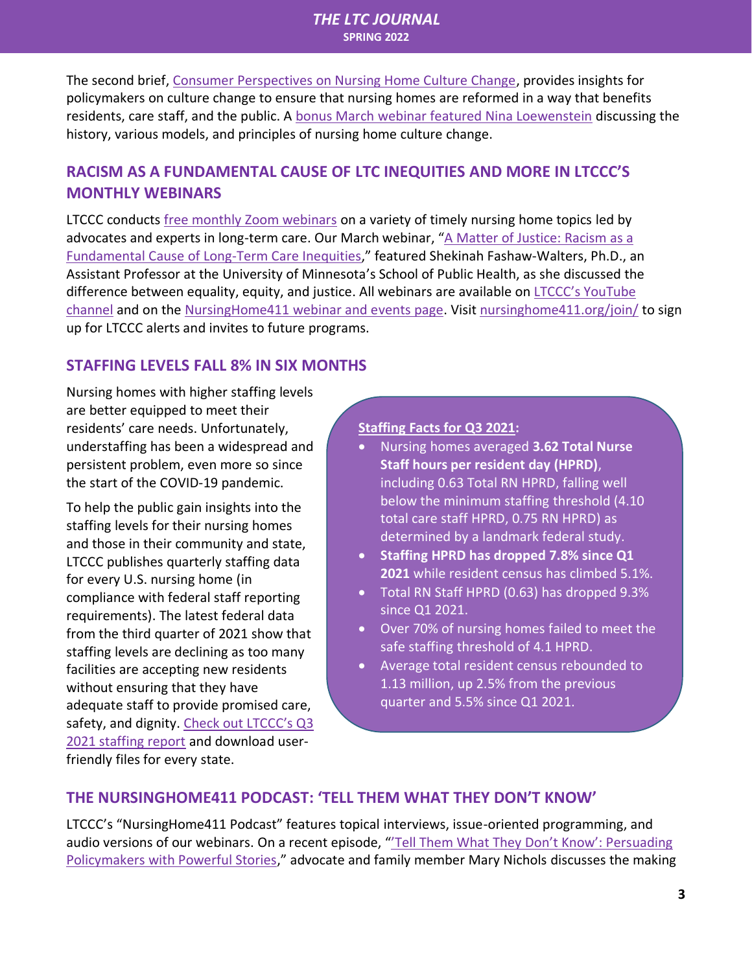#### *THE LTC JOURNAL*  **SPRING 2022**

The second brief, [Consumer Perspectives on Nursing Home Culture Change,](https://nursinghome411.org/news-reports/culture-change/) provides insights for policymakers on culture change to ensure that nursing homes are reformed in a way that benefits residents, care staff, and the public. A [bonus March webinar featured Nina Loewenstein](https://nursinghome411.org/webinar-culture-change/) discussing the history, various models, and principles of nursing home culture change.

#### <span id="page-2-0"></span>**RACISM AS A FUNDAMENTAL CAUSE OF LTC INEQUITIES AND MORE IN LTCCC'S MONTHLY WEBINARS**

LTCCC conducts [free monthly Zoom webinars](https://nursinghome411.org/learn/webinars-events/) on a variety of timely nursing home topics led by advocates and experts in long-term care. Our March webinar, "[A Matter of Justice: Racism as a](https://nursinghome411.org/webinar-ltc-inequity/)  [Fundamental Cause of Long-Term Care Inequities](https://nursinghome411.org/webinar-ltc-inequity/)," featured Shekinah Fashaw-Walters, Ph.D., an Assistant Professor at the University of Minnesota's School of Public Health, as she discussed the difference between equality, equity, and justice. All webinars are available on LTCCC's [YouTube](https://www.youtube.com/longtermcarecommunitycoalition)  [channel](https://www.youtube.com/longtermcarecommunitycoalition) and on the [NursingHome411 webinar and events page.](https://nursinghome411.org/learn/webinars-events/) Visi[t nursinghome411.org/join/](https://nursinghome411.org/join/) to sign up for LTCCC alerts and invites to future programs.

#### <span id="page-2-1"></span>**STAFFING LEVELS FALL 8% IN SIX MONTHS**

Nursing homes with higher staffing levels are better equipped to meet their residents' care needs. Unfortunately, understaffing has been a widespread and persistent problem, even more so since the start of the COVID-19 pandemic.

To help the public gain insights into the staffing levels for their nursing homes and those in their community and state, LTCCC publishes quarterly staffing data for every U.S. nursing home (in compliance with federal staff reporting requirements). The latest federal data from the third quarter of 2021 show that staffing levels are declining as too many facilities are accepting new residents without ensuring that they have adequate staff to provide promised care, safety, and dignity. [Check out LTCCC's Q](https://nursinghome411.org/data/staffing/staffing-q3-2021/)3 [2021 staffing report](https://nursinghome411.org/data/staffing/staffing-q3-2021/) and download userfriendly files for every state.

#### **Staffing Facts for Q3 2021:**

- Nursing homes averaged **3.62 Total Nurse Staff hours per resident day (HPRD)**, including 0.63 Total RN HPRD, falling well below the minimum staffing threshold (4.10 total care staff HPRD, 0.75 RN HPRD) as determined by a landmark federal study.
- **Staffing HPRD has dropped 7.8% since Q1 2021** while resident census has climbed 5.1%.
- Total RN Staff HPRD (0.63) has dropped 9.3% since Q1 2021.
- Over 70% of nursing homes failed to meet the safe staffing threshold of 4.1 HPRD.
- Average total resident census rebounded to 1.13 million, up 2.5% from the previous quarter and 5.5% since Q1 2021.

#### <span id="page-2-2"></span>**THE NURSINGHOME411 PODCAST: 'TELL THEM WHAT THEY DON'T KNOW'**

LTCCC's "NursingHome411 Podcast" features topical interviews, issue-oriented programming, and audio versions of our webinars. On a recent episode, "Tell Them What They Don't Know': Persuading [Policymakers with Powerful Stories,](https://nursinghome411.org/podcast/protecting-to-death/)" advocate and family member Mary Nichols discusses the making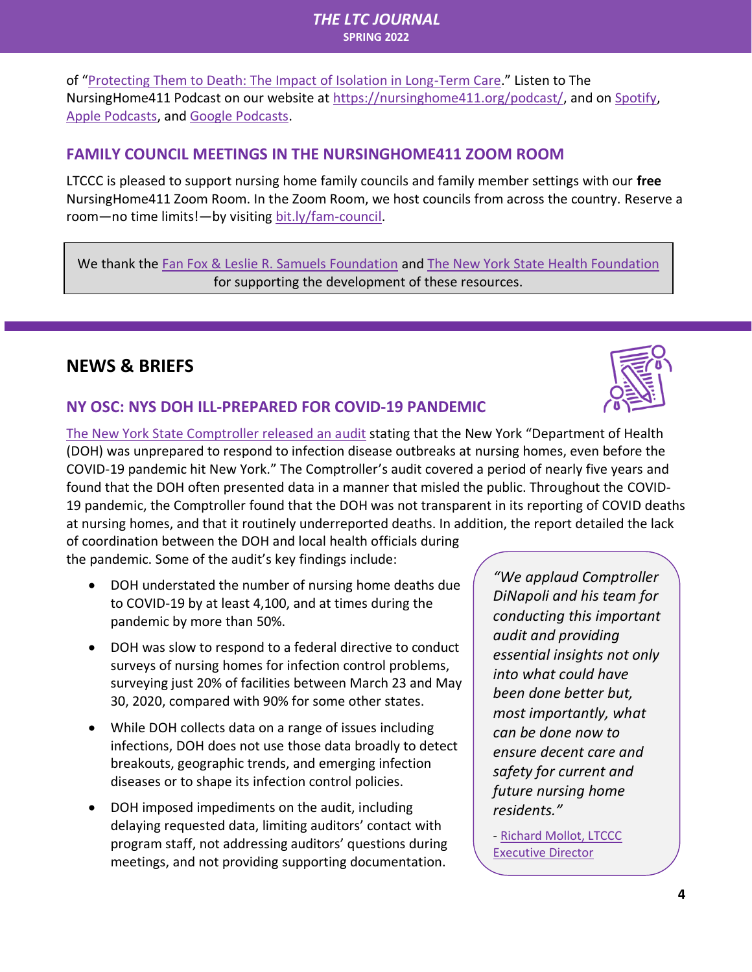of "[Protecting Them to Death: The Impact of Isolation in Long-Term Care.](https://www.lulu.com/en/us/shop/mary-batchellor-nichols-and-charlie-galligan-and-mary-shannon-daniel-and-mary-batchellor-nichols/protecting-them-to-death/paperback/product-pmj2w5.html?page=1&pageSize=4)" Listen to The NursingHome411 Podcast on our website at [https://nursinghome411.org/podcast/,](https://nursinghome411.org/podcast/) and on [Spotify,](https://open.spotify.com/show/2955T2AVbuc3H71zmu3I1u?si=ZljVAccqSxS4NzE_RAZI4g) [Apple Podcasts,](https://podcasts.apple.com/us/podcast/nursing-home-411-podcast/id1485005242) and [Google Podcasts.](https://podcasts.google.com/feed/aHR0cHM6Ly9udXJzaW5naG9tZTQxMS5vcmcvZmVlZC9wb2RjYXN0)

#### <span id="page-3-0"></span>**FAMILY COUNCIL MEETINGS IN THE NURSINGHOME411 ZOOM ROOM**

LTCCC is pleased to support nursing home family councils and family member settings with our **free** NursingHome411 Zoom Room. In the Zoom Room, we host councils from across the country. Reserve a room—no time limits!—by visiting [bit.ly/fam-council.](http://bit.ly/fam-council)

We thank the [Fan Fox & Leslie R. Samuels Foundation](http://samuels.org/) and [The New York State Health Foundation](https://nyshealthfoundation.org/) for supporting the development of these resources.

## <span id="page-3-1"></span>**NEWS & BRIEFS**

### <span id="page-3-2"></span>**NY OSC: NYS DOH ILL-PREPARED FOR COVID-19 PANDEMIC**



[The New York State Comptroller released an audit](https://www.osc.state.ny.us/press/releases/2022/03/dinapoli-states-pandemic-response-nursing-homes-hindered-ill-prepared-state-agency) stating that the New York "Department of Health (DOH) was unprepared to respond to infection disease outbreaks at nursing homes, even before the COVID-19 pandemic hit New York." The Comptroller's audit covered a period of nearly five years and found that the DOH often presented data in a manner that misled the public. Throughout the COVID-19 pandemic, the Comptroller found that the DOH was not transparent in its reporting of COVID deaths at nursing homes, and that it routinely underreported deaths. In addition, the report detailed the lack of coordination between the DOH and local health officials during

the pandemic. Some of the audit's key findings include:

- DOH understated the number of nursing home deaths due to COVID-19 by at least 4,100, and at times during the pandemic by more than 50%.
- DOH was slow to respond to a federal directive to conduct surveys of nursing homes for infection control problems, surveying just 20% of facilities between March 23 and May 30, 2020, compared with 90% for some other states.
- While DOH collects data on a range of issues including infections, DOH does not use those data broadly to detect breakouts, geographic trends, and emerging infection diseases or to shape its infection control policies.
- DOH imposed impediments on the audit, including delaying requested data, limiting auditors' contact with program staff, not addressing auditors' questions during meetings, and not providing supporting documentation.

*"We applaud Comptroller DiNapoli and his team for conducting this important audit and providing essential insights not only into what could have been done better but, most importantly, what can be done now to ensure decent care and safety for current and future nursing home residents."*

- [Richard Mollot, LTCCC](https://nursinghome411.org/wp-content/uploads/2022/03/NYS-DOH-Audit-Release-LTCCC-and-CELJ.pdf)  [Executive Director](https://nursinghome411.org/wp-content/uploads/2022/03/NYS-DOH-Audit-Release-LTCCC-and-CELJ.pdf)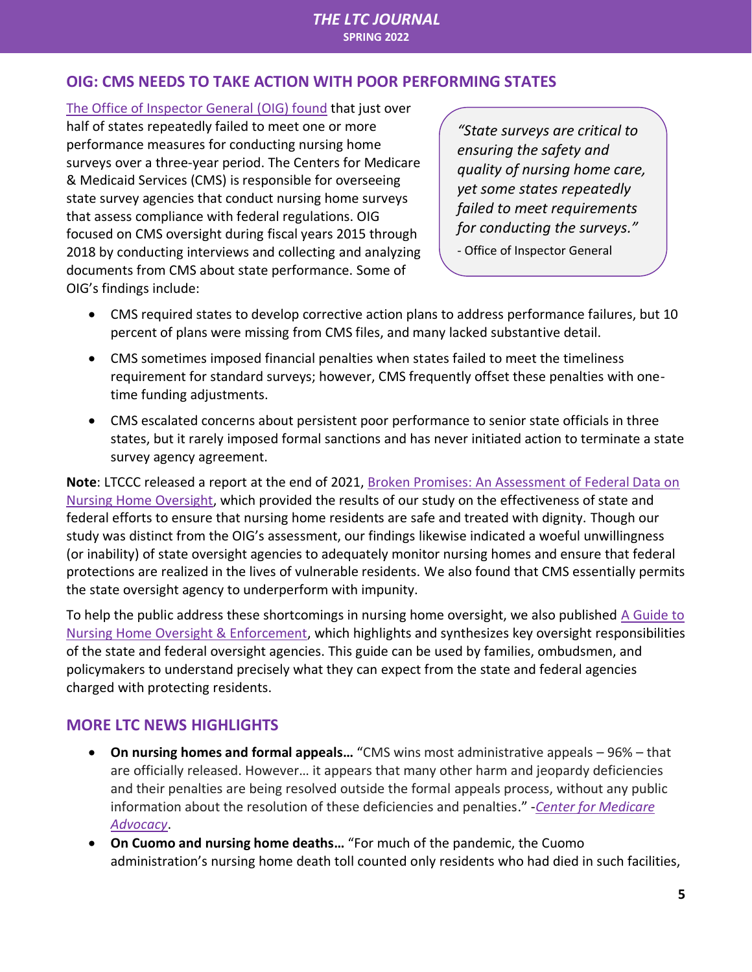#### <span id="page-4-0"></span>**OIG: CMS NEEDS TO TAKE ACTION WITH POOR PERFORMING STATES**

[The Office of Inspector General](https://oig.hhs.gov/oei/reports/OEI-06-19-00460.pdf) (OIG) found that just over half of states repeatedly failed to meet one or more performance measures for conducting nursing home surveys over a three-year period. The Centers for Medicare & Medicaid Services (CMS) is responsible for overseeing state survey agencies that conduct nursing home surveys that assess compliance with federal regulations. OIG focused on CMS oversight during fiscal years 2015 through 2018 by conducting interviews and collecting and analyzing documents from CMS about state performance. Some of OIG's findings include:

*"State surveys are critical to ensuring the safety and quality of nursing home care, yet some states repeatedly failed to meet requirements for conducting the surveys."*

- Office of Inspector General

- CMS required states to develop corrective action plans to address performance failures, but 10 percent of plans were missing from CMS files, and many lacked substantive detail.
- CMS sometimes imposed financial penalties when states failed to meet the timeliness requirement for standard surveys; however, CMS frequently offset these penalties with onetime funding adjustments.
- CMS escalated concerns about persistent poor performance to senior state officials in three states, but it rarely imposed formal sanctions and has never initiated action to terminate a state survey agency agreement.

**Note**: LTCCC released a report at the end of 2021, [Broken Promises: An Assessment of Federal Data on](https://nursinghome411.org/news-reports/reports/survey-enforcement/survey-data-report/)  [Nursing Home Oversight,](https://nursinghome411.org/news-reports/reports/survey-enforcement/survey-data-report/) which provided the results of our study on the effectiveness of state and federal efforts to ensure that nursing home residents are safe and treated with dignity. Though our study was distinct from the OIG's assessment, our findings likewise indicated a woeful unwillingness (or inability) of state oversight agencies to adequately monitor nursing homes and ensure that federal protections are realized in the lives of vulnerable residents. We also found that CMS essentially permits the state oversight agency to underperform with impunity.

To help the public address these shortcomings in nursing home oversight, we also published [A Guide to](https://nursinghome411.org/news-reports/reports/survey-enforcement/guide-oversight/)  [Nursing Home Oversight & Enforcement,](https://nursinghome411.org/news-reports/reports/survey-enforcement/guide-oversight/) which highlights and synthesizes key oversight responsibilities of the state and federal oversight agencies. This guide can be used by families, ombudsmen, and policymakers to understand precisely what they can expect from the state and federal agencies charged with protecting residents.

#### <span id="page-4-1"></span>**MORE LTC NEWS HIGHLIGHTS**

- **On nursing homes and formal appeals…** "CMS wins most administrative appeals 96% that are officially released. However… it appears that many other harm and jeopardy deficiencies and their penalties are being resolved outside the formal appeals process, without any public information about the resolution of these deficiencies and penalties." -*[Center for Medicare](https://medicareadvocacy.org/nursing-homes-lose-almost-all-formal-appeals-of-deficiencies-and-civil-money-penalties/)  [Advocacy](https://medicareadvocacy.org/nursing-homes-lose-almost-all-formal-appeals-of-deficiencies-and-civil-money-penalties/)*.
- **On Cuomo and nursing home deaths…** "For much of the pandemic, the Cuomo administration's nursing home death toll counted only residents who had died in such facilities,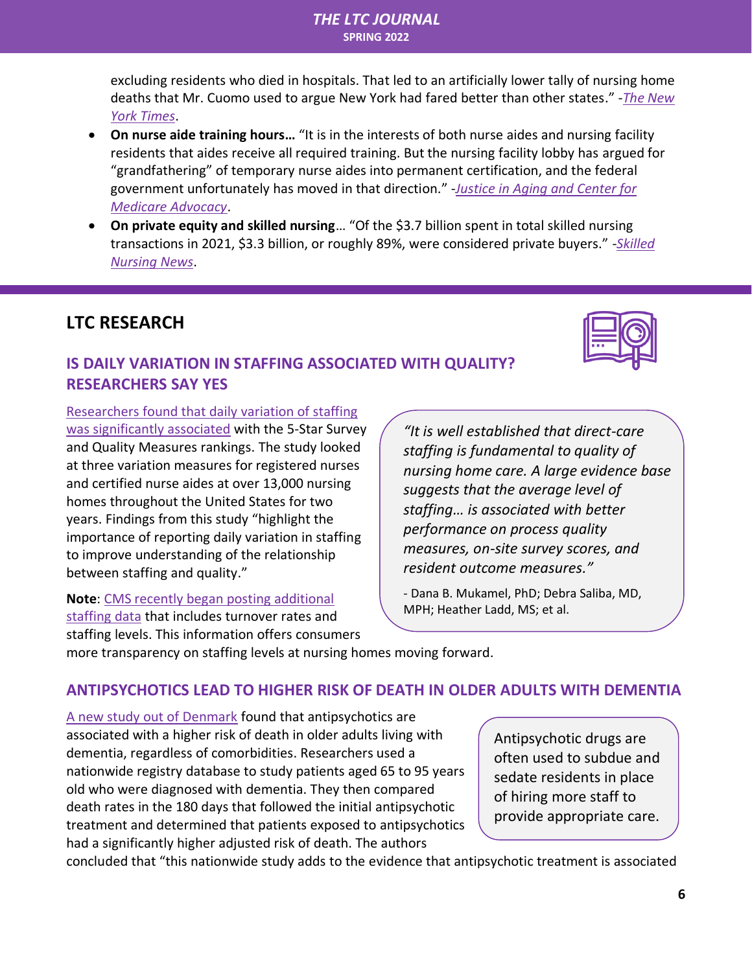#### *THE LTC JOURNAL*  **SPRING 2022**

excluding residents who died in hospitals. That led to an artificially lower tally of nursing home deaths that Mr. Cuomo used to argue New York had fared better than other states." -*[The New](https://www.nytimes.com/2022/03/15/nyregion/nursing-home-deaths-cuomo-covid.html)  [York Times](https://www.nytimes.com/2022/03/15/nyregion/nursing-home-deaths-cuomo-covid.html)*.

- **On nurse aide training hours…** "It is in the interests of both nurse aides and nursing facility residents that aides receive all required training. But the nursing facility lobby has argued for "grandfathering" of temporary nurse aides into permanent certification, and the federal government unfortunately has moved in that direction." -*[Justice in Aging and Center for](https://justiceinaging.org/wp-content/uploads/2022/02/States-Are-Weakening-Training-Standards-for-Nursing-Facility-Aides-With-No-Response-By-CMS.pdf)  [Medicare Advocacy](https://justiceinaging.org/wp-content/uploads/2022/02/States-Are-Weakening-Training-Standards-for-Nursing-Facility-Aides-With-No-Response-By-CMS.pdf)*.
- **On private equity and skilled nursing**… "Of the \$3.7 billion spent in total skilled nursing transactions in 2021, \$3.3 billion, or roughly 89%, were considered private buyers." -*[Skilled](https://skillednursingnews.com/2022/02/buying-boom-to-continue-in-skilled-nursing-as-private-equity-keeps-chasing-deals/)  [Nursing News](https://skillednursingnews.com/2022/02/buying-boom-to-continue-in-skilled-nursing-as-private-equity-keeps-chasing-deals/)*.

## <span id="page-5-0"></span>**LTC RESEARCH**

#### <span id="page-5-2"></span><span id="page-5-1"></span>**IS DAILY VARIATION IN STAFFING ASSOCIATED WITH QUALITY? RESEARCHERS SAY YES**

[Researchers found that daily variation of staffing](https://jamanetwork.com/journals/jamanetworkopen/fullarticle/2790046)  [was significantly associated](https://jamanetwork.com/journals/jamanetworkopen/fullarticle/2790046) with the 5-Star Survey and Quality Measures rankings. The study looked at three variation measures for registered nurses and certified nurse aides at over 13,000 nursing homes throughout the United States for two years. Findings from this study "highlight the importance of reporting daily variation in staffing to improve understanding of the relationship between staffing and quality."

**Note**: [CMS recently began posting additional](https://www.mcknights.com/news/cms-going-public-with-facility-turnover-weekend-staffing-data/)  [staffing data](https://www.mcknights.com/news/cms-going-public-with-facility-turnover-weekend-staffing-data/) that includes turnover rates and staffing levels. This information offers consumers

*"It is well established that direct-care staffing is fundamental to quality of nursing home care. A large evidence base suggests that the average level of staffing… is associated with better performance on process quality measures, on-site survey scores, and resident outcome measures."* 

- Dana B. Mukamel, PhD; Debra Saliba, MD, MPH; Heather Ladd, MS; et al.

more transparency on staffing levels at nursing homes moving forward.

#### <span id="page-5-3"></span>**ANTIPSYCHOTICS LEAD TO HIGHER RISK OF DEATH IN OLDER ADULTS WITH DEMENTIA**

[A new study out of Denmark](https://agsjournals.onlinelibrary.wiley.com/doi/abs/10.1111/jgs.17623) found that antipsychotics are associated with a higher risk of death in older adults living with dementia, regardless of comorbidities. Researchers used a nationwide registry database to study patients aged 65 to 95 years old who were diagnosed with dementia. They then compared death rates in the 180 days that followed the initial antipsychotic treatment and determined that patients exposed to antipsychotics had a significantly higher adjusted risk of death. The authors

Antipsychotic drugs are often used to subdue and sedate residents in place of hiring more staff to provide appropriate care.

concluded that "this nationwide study adds to the evidence that antipsychotic treatment is associated

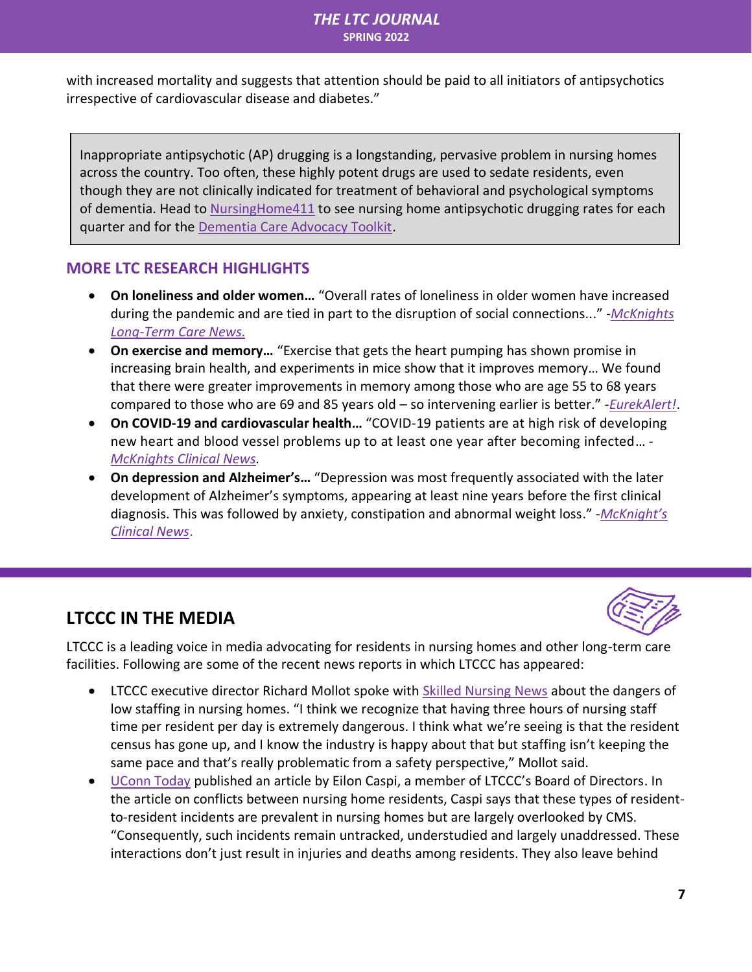with increased mortality and suggests that attention should be paid to all initiators of antipsychotics irrespective of cardiovascular disease and diabetes."

Inappropriate antipsychotic (AP) drugging is a longstanding, pervasive problem in nursing homes across the country. Too often, these highly potent drugs are used to sedate residents, even though they are not clinically indicated for treatment of behavioral and psychological symptoms of dementia. Head to [NursingHome411](https://nursinghome411.org/data/ap-drugs/) to see nursing home antipsychotic drugging rates for each quarter and for the [Dementia Care Advocacy Toolkit.](https://nursinghome411.org/learn/dementia-care-advocacy-toolkit/)

#### <span id="page-6-0"></span>**MORE LTC RESEARCH HIGHLIGHTS**

- **On loneliness and older women…** "Overall rates of loneliness in older women have increased during the pandemic and are tied in part to the disruption of social connections..." -*[McKnights](https://www.mcknights.com/news/clinical-news/study-unveils-silent-epidemic-of-loneliness-among-older-women-during-pandemic/)  [Long-Term Care News.](https://www.mcknights.com/news/clinical-news/study-unveils-silent-epidemic-of-loneliness-among-older-women-during-pandemic/)*
- **On exercise and memory…** "Exercise that gets the heart pumping has shown promise in increasing brain health, and experiments in mice show that it improves memory… We found that there were greater improvements in memory among those who are age 55 to 68 years compared to those who are 69 and 85 years old – so intervening earlier is better." -*[EurekAlert!](https://www.eurekalert.org/news-releases/943658)*.
- **On COVID-19 and cardiovascular health…** "COVID-19 patients are at high risk of developing new heart and blood vessel problems up to at least one year after becoming infected… - *[McKnights Clinical News.](https://www.mcknights.com/news/clinical-news/covid-19-has-long-term-cardiovascular-effects-stunning-study-results-reveal/)*
- **On depression and Alzheimer's…** "Depression was most frequently associated with the later development of Alzheimer's symptoms, appearing at least nine years before the first clinical diagnosis. This was followed by anxiety, constipation and abnormal weight loss." -*[McKnight's](https://www.mcknights.com/news/clinical-news/depression-anxiety-among-top-10-health-problems-that-emerge-years-before-alzheimers-symptoms/)  [Clinical News](https://www.mcknights.com/news/clinical-news/depression-anxiety-among-top-10-health-problems-that-emerge-years-before-alzheimers-symptoms/)*.

## **LTCCC IN THE MEDIA**



LTCCC is a leading voice in media advocating for residents in nursing homes and other long-term care facilities. Following are some of the recent news reports in which LTCCC has appeared:

- LTCCC executive director Richard Mollot spoke with [Skilled Nursing News](https://skillednursingnews.com/2022/03/states-with-lowest-nursing-home-staff-hours-reflect-pressing-industry-issue/) about the dangers of low staffing in nursing homes. "I think we recognize that having three hours of nursing staff time per resident per day is extremely dangerous. I think what we're seeing is that the resident census has gone up, and I know the industry is happy about that but staffing isn't keeping the same pace and that's really problematic from a safety perspective," Mollot said.
- [UConn Today](https://today.uconn.edu/2022/01/conflicts-between-nursing-home-residents-are-often-chalked-up-to-dementia-the-real-problem-is-inadequate-care-and-neglect/) published an article by Eilon Caspi, a member of LTCCC's Board of Directors. In the article on conflicts between nursing home residents, Caspi says that these types of residentto-resident incidents are prevalent in nursing homes but are largely overlooked by CMS. "Consequently, such incidents remain untracked, understudied and largely unaddressed. These interactions don't just result in injuries and deaths among residents. They also leave behind